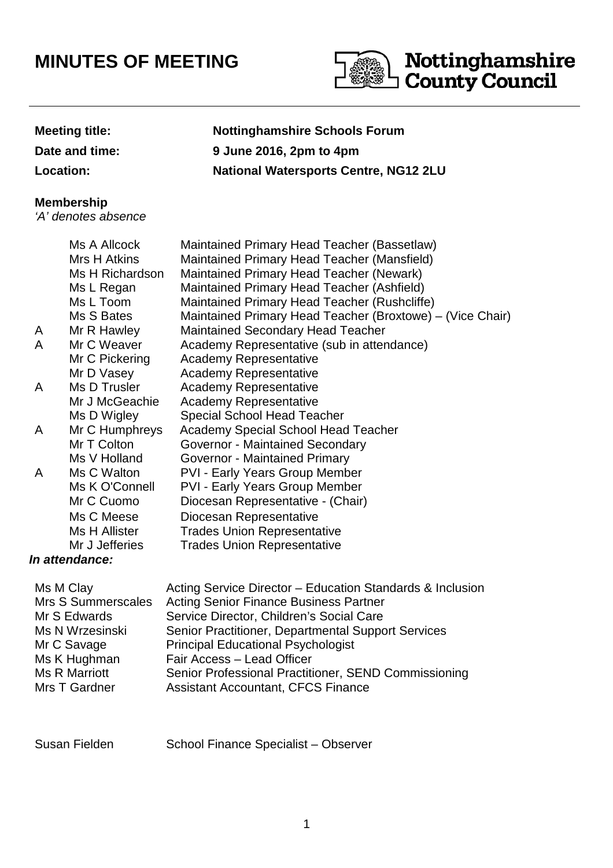## **MINUTES OF MEETING**



**Meeting title: Nottinghamshire Schools Forum Date and time: 9 June 2016, 2pm to 4pm Location: National Watersports Centre, NG12 2LU**

## **Membership**

'A' denotes absence

|   | Ms A Allcock    | Maintained Primary Head Teacher (Bassetlaw)               |
|---|-----------------|-----------------------------------------------------------|
|   | Mrs H Atkins    | Maintained Primary Head Teacher (Mansfield)               |
|   | Ms H Richardson | Maintained Primary Head Teacher (Newark)                  |
|   | Ms L Regan      | Maintained Primary Head Teacher (Ashfield)                |
|   | Ms L Toom       | Maintained Primary Head Teacher (Rushcliffe)              |
|   | Ms S Bates      | Maintained Primary Head Teacher (Broxtowe) - (Vice Chair) |
| A | Mr R Hawley     | <b>Maintained Secondary Head Teacher</b>                  |
| A | Mr C Weaver     | Academy Representative (sub in attendance)                |
|   | Mr C Pickering  | <b>Academy Representative</b>                             |
|   | Mr D Vasey      | <b>Academy Representative</b>                             |
| A | Ms D Trusler    | <b>Academy Representative</b>                             |
|   | Mr J McGeachie  | <b>Academy Representative</b>                             |
|   | Ms D Wigley     | <b>Special School Head Teacher</b>                        |
| A | Mr C Humphreys  | <b>Academy Special School Head Teacher</b>                |
|   | Mr T Colton     | Governor - Maintained Secondary                           |
|   | Ms V Holland    | Governor - Maintained Primary                             |
| A | Ms C Walton     | <b>PVI - Early Years Group Member</b>                     |
|   | Ms K O'Connell  | <b>PVI - Early Years Group Member</b>                     |
|   | Mr C Cuomo      | Diocesan Representative - (Chair)                         |
|   | Ms C Meese      | Diocesan Representative                                   |
|   | Ms H Allister   | <b>Trades Union Representative</b>                        |
|   | Mr J Jefferies  | <b>Trades Union Representative</b>                        |
|   | 'n attondanco   |                                                           |

## **In attendance:**

| Ms M Clay          | Acting Service Director – Education Standards & Inclusion |
|--------------------|-----------------------------------------------------------|
| Mrs S Summerscales | <b>Acting Senior Finance Business Partner</b>             |
| Mr S Edwards       | Service Director, Children's Social Care                  |
| Ms N Wrzesinski    | Senior Practitioner, Departmental Support Services        |
| Mr C Savage        | <b>Principal Educational Psychologist</b>                 |
| Ms K Hughman       | Fair Access - Lead Officer                                |
| Ms R Marriott      | Senior Professional Practitioner, SEND Commissioning      |
| Mrs T Gardner      | <b>Assistant Accountant, CFCS Finance</b>                 |

Susan Fielden School Finance Specialist – Observer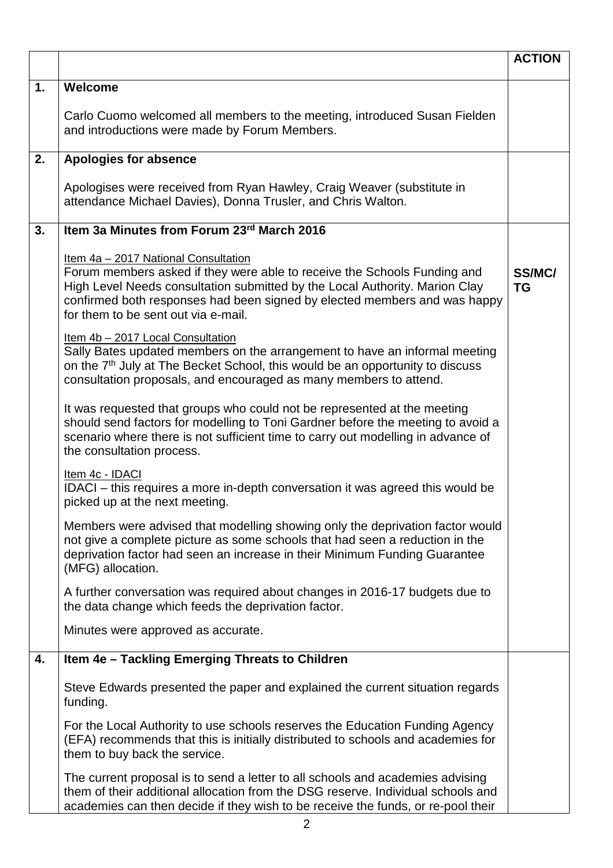|    |                                                                                                                                                                                                                                                                                                                     | <b>ACTION</b>       |
|----|---------------------------------------------------------------------------------------------------------------------------------------------------------------------------------------------------------------------------------------------------------------------------------------------------------------------|---------------------|
| 1. | Welcome                                                                                                                                                                                                                                                                                                             |                     |
|    | Carlo Cuomo welcomed all members to the meeting, introduced Susan Fielden<br>and introductions were made by Forum Members.                                                                                                                                                                                          |                     |
| 2. | <b>Apologies for absence</b>                                                                                                                                                                                                                                                                                        |                     |
|    | Apologises were received from Ryan Hawley, Craig Weaver (substitute in<br>attendance Michael Davies), Donna Trusler, and Chris Walton.                                                                                                                                                                              |                     |
| 3. | Item 3a Minutes from Forum 23rd March 2016                                                                                                                                                                                                                                                                          |                     |
|    | Item 4a - 2017 National Consultation<br>Forum members asked if they were able to receive the Schools Funding and<br>High Level Needs consultation submitted by the Local Authority. Marion Clay<br>confirmed both responses had been signed by elected members and was happy<br>for them to be sent out via e-mail. | SS/MC/<br><b>TG</b> |
|    | Item 4b - 2017 Local Consultation<br>Sally Bates updated members on the arrangement to have an informal meeting<br>on the 7 <sup>th</sup> July at The Becket School, this would be an opportunity to discuss<br>consultation proposals, and encouraged as many members to attend.                                   |                     |
|    | It was requested that groups who could not be represented at the meeting<br>should send factors for modelling to Toni Gardner before the meeting to avoid a<br>scenario where there is not sufficient time to carry out modelling in advance of<br>the consultation process.                                        |                     |
|    | Item 4c - IDACI<br>IDACI – this requires a more in-depth conversation it was agreed this would be<br>picked up at the next meeting.                                                                                                                                                                                 |                     |
|    | Members were advised that modelling showing only the deprivation factor would<br>not give a complete picture as some schools that had seen a reduction in the<br>deprivation factor had seen an increase in their Minimum Funding Guarantee<br>(MFG) allocation.                                                    |                     |
|    | A further conversation was required about changes in 2016-17 budgets due to<br>the data change which feeds the deprivation factor.                                                                                                                                                                                  |                     |
|    | Minutes were approved as accurate.                                                                                                                                                                                                                                                                                  |                     |
| 4. | Item 4e - Tackling Emerging Threats to Children                                                                                                                                                                                                                                                                     |                     |
|    | Steve Edwards presented the paper and explained the current situation regards<br>funding.                                                                                                                                                                                                                           |                     |
|    | For the Local Authority to use schools reserves the Education Funding Agency<br>(EFA) recommends that this is initially distributed to schools and academies for<br>them to buy back the service.                                                                                                                   |                     |
|    | The current proposal is to send a letter to all schools and academies advising<br>them of their additional allocation from the DSG reserve. Individual schools and<br>academies can then decide if they wish to be receive the funds, or re-pool their                                                              |                     |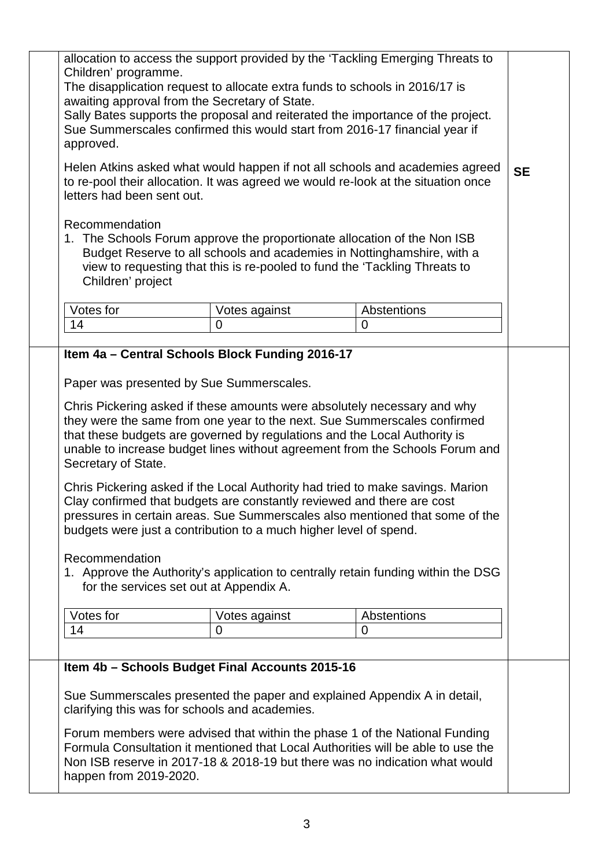| allocation to access the support provided by the 'Tackling Emerging Threats to<br>Children' programme.<br>The disapplication request to allocate extra funds to schools in 2016/17 is<br>awaiting approval from the Secretary of State.<br>Sally Bates supports the proposal and reiterated the importance of the project.<br>Sue Summerscales confirmed this would start from 2016-17 financial year if<br>approved.                                                                                                                                                                                                                                                                                                                                                                                                                                                                                                                                   |               |                |           |
|---------------------------------------------------------------------------------------------------------------------------------------------------------------------------------------------------------------------------------------------------------------------------------------------------------------------------------------------------------------------------------------------------------------------------------------------------------------------------------------------------------------------------------------------------------------------------------------------------------------------------------------------------------------------------------------------------------------------------------------------------------------------------------------------------------------------------------------------------------------------------------------------------------------------------------------------------------|---------------|----------------|-----------|
| Helen Atkins asked what would happen if not all schools and academies agreed<br>to re-pool their allocation. It was agreed we would re-look at the situation once<br>letters had been sent out.                                                                                                                                                                                                                                                                                                                                                                                                                                                                                                                                                                                                                                                                                                                                                         |               |                | <b>SE</b> |
| Recommendation<br>1. The Schools Forum approve the proportionate allocation of the Non ISB<br>Budget Reserve to all schools and academies in Nottinghamshire, with a<br>view to requesting that this is re-pooled to fund the 'Tackling Threats to<br>Children' project                                                                                                                                                                                                                                                                                                                                                                                                                                                                                                                                                                                                                                                                                 |               |                |           |
| Votes for                                                                                                                                                                                                                                                                                                                                                                                                                                                                                                                                                                                                                                                                                                                                                                                                                                                                                                                                               | Votes against | Abstentions    |           |
| 14                                                                                                                                                                                                                                                                                                                                                                                                                                                                                                                                                                                                                                                                                                                                                                                                                                                                                                                                                      | 0             | $\overline{0}$ |           |
|                                                                                                                                                                                                                                                                                                                                                                                                                                                                                                                                                                                                                                                                                                                                                                                                                                                                                                                                                         |               |                |           |
| Item 4a - Central Schools Block Funding 2016-17<br>Paper was presented by Sue Summerscales.<br>Chris Pickering asked if these amounts were absolutely necessary and why<br>they were the same from one year to the next. Sue Summerscales confirmed<br>that these budgets are governed by regulations and the Local Authority is<br>unable to increase budget lines without agreement from the Schools Forum and<br>Secretary of State.<br>Chris Pickering asked if the Local Authority had tried to make savings. Marion<br>Clay confirmed that budgets are constantly reviewed and there are cost<br>pressures in certain areas. Sue Summerscales also mentioned that some of the<br>budgets were just a contribution to a much higher level of spend.<br>Recommendation<br>1. Approve the Authority's application to centrally retain funding within the DSG<br>for the services set out at Appendix A.<br>Votes for<br>Abstentions<br>Votes against |               |                |           |
| 14                                                                                                                                                                                                                                                                                                                                                                                                                                                                                                                                                                                                                                                                                                                                                                                                                                                                                                                                                      | 0             | 0              |           |
|                                                                                                                                                                                                                                                                                                                                                                                                                                                                                                                                                                                                                                                                                                                                                                                                                                                                                                                                                         |               |                |           |
| Item 4b - Schools Budget Final Accounts 2015-16<br>Sue Summerscales presented the paper and explained Appendix A in detail,                                                                                                                                                                                                                                                                                                                                                                                                                                                                                                                                                                                                                                                                                                                                                                                                                             |               |                |           |
| clarifying this was for schools and academies.                                                                                                                                                                                                                                                                                                                                                                                                                                                                                                                                                                                                                                                                                                                                                                                                                                                                                                          |               |                |           |
| Forum members were advised that within the phase 1 of the National Funding<br>Formula Consultation it mentioned that Local Authorities will be able to use the<br>Non ISB reserve in 2017-18 & 2018-19 but there was no indication what would<br>happen from 2019-2020.                                                                                                                                                                                                                                                                                                                                                                                                                                                                                                                                                                                                                                                                                 |               |                |           |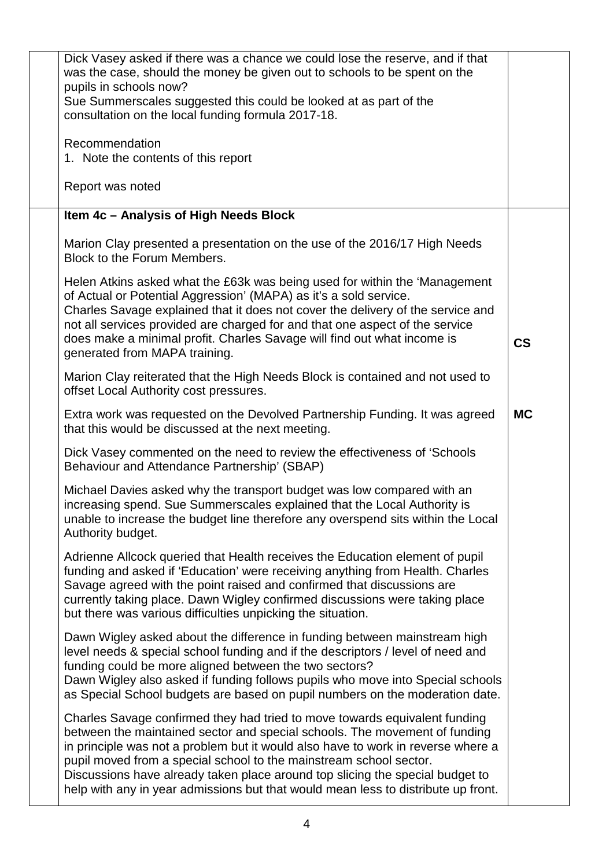| Dick Vasey asked if there was a chance we could lose the reserve, and if that<br>was the case, should the money be given out to schools to be spent on the<br>pupils in schools now?<br>Sue Summerscales suggested this could be looked at as part of the<br>consultation on the local funding formula 2017-18.<br>Recommendation                                                                                                                                                        |           |
|------------------------------------------------------------------------------------------------------------------------------------------------------------------------------------------------------------------------------------------------------------------------------------------------------------------------------------------------------------------------------------------------------------------------------------------------------------------------------------------|-----------|
| 1. Note the contents of this report                                                                                                                                                                                                                                                                                                                                                                                                                                                      |           |
| Report was noted                                                                                                                                                                                                                                                                                                                                                                                                                                                                         |           |
| Item 4c - Analysis of High Needs Block                                                                                                                                                                                                                                                                                                                                                                                                                                                   |           |
| Marion Clay presented a presentation on the use of the 2016/17 High Needs<br>Block to the Forum Members.                                                                                                                                                                                                                                                                                                                                                                                 |           |
| Helen Atkins asked what the £63k was being used for within the 'Management<br>of Actual or Potential Aggression' (MAPA) as it's a sold service.<br>Charles Savage explained that it does not cover the delivery of the service and<br>not all services provided are charged for and that one aspect of the service<br>does make a minimal profit. Charles Savage will find out what income is<br>generated from MAPA training.                                                           | <b>CS</b> |
| Marion Clay reiterated that the High Needs Block is contained and not used to<br>offset Local Authority cost pressures.                                                                                                                                                                                                                                                                                                                                                                  |           |
| Extra work was requested on the Devolved Partnership Funding. It was agreed<br>that this would be discussed at the next meeting.                                                                                                                                                                                                                                                                                                                                                         | <b>MC</b> |
| Dick Vasey commented on the need to review the effectiveness of 'Schools<br>Behaviour and Attendance Partnership' (SBAP)                                                                                                                                                                                                                                                                                                                                                                 |           |
| Michael Davies asked why the transport budget was low compared with an<br>increasing spend. Sue Summerscales explained that the Local Authority is<br>unable to increase the budget line therefore any overspend sits within the Local<br>Authority budget.                                                                                                                                                                                                                              |           |
| Adrienne Allcock queried that Health receives the Education element of pupil<br>funding and asked if 'Education' were receiving anything from Health. Charles<br>Savage agreed with the point raised and confirmed that discussions are<br>currently taking place. Dawn Wigley confirmed discussions were taking place<br>but there was various difficulties unpicking the situation.                                                                                                    |           |
| Dawn Wigley asked about the difference in funding between mainstream high<br>level needs & special school funding and if the descriptors / level of need and<br>funding could be more aligned between the two sectors?<br>Dawn Wigley also asked if funding follows pupils who move into Special schools<br>as Special School budgets are based on pupil numbers on the moderation date.                                                                                                 |           |
| Charles Savage confirmed they had tried to move towards equivalent funding<br>between the maintained sector and special schools. The movement of funding<br>in principle was not a problem but it would also have to work in reverse where a<br>pupil moved from a special school to the mainstream school sector.<br>Discussions have already taken place around top slicing the special budget to<br>help with any in year admissions but that would mean less to distribute up front. |           |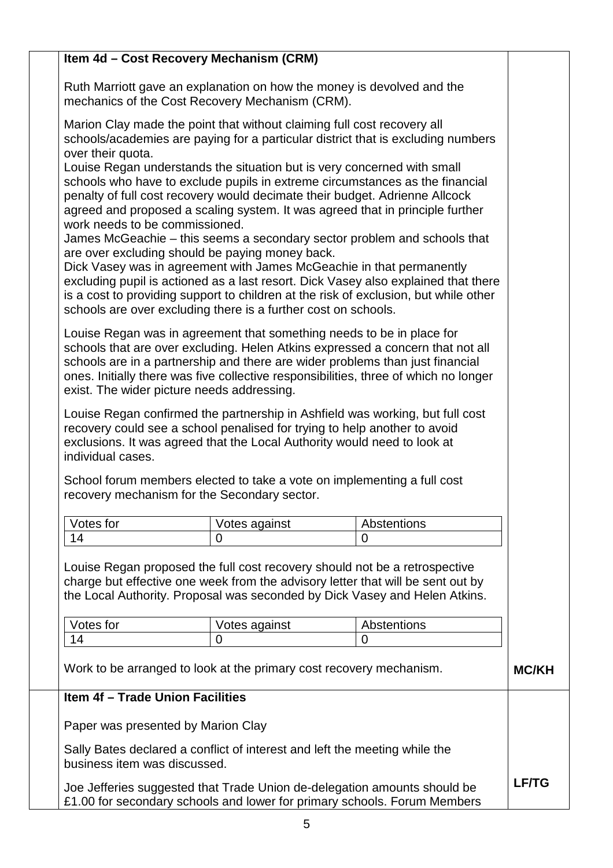|                                                                                                                                                                                                                                                                                                                                                                                                                                                                                                                                                                                                                                                                                                                                                                                                                  | Item 4d - Cost Recovery Mechanism (CRM)                             |                                                                                                                                                                                                                                                                              |              |
|------------------------------------------------------------------------------------------------------------------------------------------------------------------------------------------------------------------------------------------------------------------------------------------------------------------------------------------------------------------------------------------------------------------------------------------------------------------------------------------------------------------------------------------------------------------------------------------------------------------------------------------------------------------------------------------------------------------------------------------------------------------------------------------------------------------|---------------------------------------------------------------------|------------------------------------------------------------------------------------------------------------------------------------------------------------------------------------------------------------------------------------------------------------------------------|--------------|
| Ruth Marriott gave an explanation on how the money is devolved and the<br>mechanics of the Cost Recovery Mechanism (CRM).                                                                                                                                                                                                                                                                                                                                                                                                                                                                                                                                                                                                                                                                                        |                                                                     |                                                                                                                                                                                                                                                                              |              |
| Marion Clay made the point that without claiming full cost recovery all<br>schools/academies are paying for a particular district that is excluding numbers<br>over their quota.                                                                                                                                                                                                                                                                                                                                                                                                                                                                                                                                                                                                                                 |                                                                     |                                                                                                                                                                                                                                                                              |              |
| Louise Regan understands the situation but is very concerned with small<br>schools who have to exclude pupils in extreme circumstances as the financial<br>penalty of full cost recovery would decimate their budget. Adrienne Allcock<br>agreed and proposed a scaling system. It was agreed that in principle further<br>work needs to be commissioned.<br>James McGeachie - this seems a secondary sector problem and schools that<br>are over excluding should be paying money back.<br>Dick Vasey was in agreement with James McGeachie in that permanently<br>excluding pupil is actioned as a last resort. Dick Vasey also explained that there<br>is a cost to providing support to children at the risk of exclusion, but while other<br>schools are over excluding there is a further cost on schools. |                                                                     |                                                                                                                                                                                                                                                                              |              |
| Louise Regan was in agreement that something needs to be in place for<br>schools that are over excluding. Helen Atkins expressed a concern that not all<br>schools are in a partnership and there are wider problems than just financial<br>ones. Initially there was five collective responsibilities, three of which no longer<br>exist. The wider picture needs addressing.                                                                                                                                                                                                                                                                                                                                                                                                                                   |                                                                     |                                                                                                                                                                                                                                                                              |              |
| Louise Regan confirmed the partnership in Ashfield was working, but full cost<br>recovery could see a school penalised for trying to help another to avoid<br>exclusions. It was agreed that the Local Authority would need to look at<br>individual cases.<br>School forum members elected to take a vote on implementing a full cost                                                                                                                                                                                                                                                                                                                                                                                                                                                                           |                                                                     |                                                                                                                                                                                                                                                                              |              |
|                                                                                                                                                                                                                                                                                                                                                                                                                                                                                                                                                                                                                                                                                                                                                                                                                  | recovery mechanism for the Secondary sector.                        |                                                                                                                                                                                                                                                                              |              |
| Votes for                                                                                                                                                                                                                                                                                                                                                                                                                                                                                                                                                                                                                                                                                                                                                                                                        | Votes against                                                       | Abstentions                                                                                                                                                                                                                                                                  |              |
| 14                                                                                                                                                                                                                                                                                                                                                                                                                                                                                                                                                                                                                                                                                                                                                                                                               | $\overline{0}$                                                      | 0                                                                                                                                                                                                                                                                            |              |
| Votes for<br>14                                                                                                                                                                                                                                                                                                                                                                                                                                                                                                                                                                                                                                                                                                                                                                                                  | Votes against<br>$\overline{0}$                                     | Louise Regan proposed the full cost recovery should not be a retrospective<br>charge but effective one week from the advisory letter that will be sent out by<br>the Local Authority. Proposal was seconded by Dick Vasey and Helen Atkins.<br>Abstentions<br>$\overline{0}$ |              |
|                                                                                                                                                                                                                                                                                                                                                                                                                                                                                                                                                                                                                                                                                                                                                                                                                  | Work to be arranged to look at the primary cost recovery mechanism. |                                                                                                                                                                                                                                                                              | <b>MC/KH</b> |
| Item 4f - Trade Union Facilities                                                                                                                                                                                                                                                                                                                                                                                                                                                                                                                                                                                                                                                                                                                                                                                 |                                                                     |                                                                                                                                                                                                                                                                              |              |
| Paper was presented by Marion Clay                                                                                                                                                                                                                                                                                                                                                                                                                                                                                                                                                                                                                                                                                                                                                                               |                                                                     |                                                                                                                                                                                                                                                                              |              |
| Sally Bates declared a conflict of interest and left the meeting while the<br>business item was discussed.                                                                                                                                                                                                                                                                                                                                                                                                                                                                                                                                                                                                                                                                                                       |                                                                     |                                                                                                                                                                                                                                                                              |              |
|                                                                                                                                                                                                                                                                                                                                                                                                                                                                                                                                                                                                                                                                                                                                                                                                                  |                                                                     | Joe Jefferies suggested that Trade Union de-delegation amounts should be<br>£1.00 for secondary schools and lower for primary schools. Forum Members                                                                                                                         | <b>LF/TG</b> |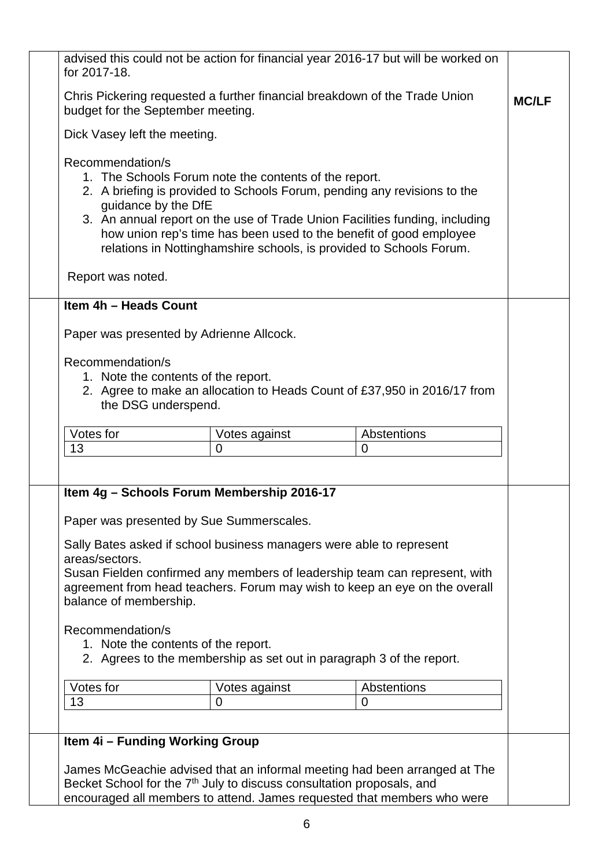| advised this could not be action for financial year 2016-17 but will be worked on<br>for 2017-18.                                                                                                                                                                                                                                                                                                                             |                    |                               |              |
|-------------------------------------------------------------------------------------------------------------------------------------------------------------------------------------------------------------------------------------------------------------------------------------------------------------------------------------------------------------------------------------------------------------------------------|--------------------|-------------------------------|--------------|
| Chris Pickering requested a further financial breakdown of the Trade Union<br>budget for the September meeting.                                                                                                                                                                                                                                                                                                               |                    |                               | <b>MC/LF</b> |
| Dick Vasey left the meeting.                                                                                                                                                                                                                                                                                                                                                                                                  |                    |                               |              |
| Recommendation/s<br>1. The Schools Forum note the contents of the report.<br>2. A briefing is provided to Schools Forum, pending any revisions to the<br>guidance by the DfE<br>3. An annual report on the use of Trade Union Facilities funding, including<br>how union rep's time has been used to the benefit of good employee<br>relations in Nottinghamshire schools, is provided to Schools Forum.<br>Report was noted. |                    |                               |              |
| Item 4h - Heads Count                                                                                                                                                                                                                                                                                                                                                                                                         |                    |                               |              |
| Paper was presented by Adrienne Allcock.                                                                                                                                                                                                                                                                                                                                                                                      |                    |                               |              |
| Recommendation/s<br>1. Note the contents of the report.<br>2. Agree to make an allocation to Heads Count of £37,950 in 2016/17 from<br>the DSG underspend.                                                                                                                                                                                                                                                                    |                    |                               |              |
| Votes for<br>13                                                                                                                                                                                                                                                                                                                                                                                                               | Votes against<br>0 | Abstentions<br>$\overline{0}$ |              |
| Item 4g - Schools Forum Membership 2016-17<br>Paper was presented by Sue Summerscales.<br>Sally Bates asked if school business managers were able to represent<br>areas/sectors.<br>Susan Fielden confirmed any members of leadership team can represent, with<br>agreement from head teachers. Forum may wish to keep an eye on the overall<br>balance of membership.                                                        |                    |                               |              |
| Recommendation/s<br>1. Note the contents of the report.<br>2. Agrees to the membership as set out in paragraph 3 of the report.<br>Votes for<br>Abstentions<br>Votes against                                                                                                                                                                                                                                                  |                    |                               |              |
| 13                                                                                                                                                                                                                                                                                                                                                                                                                            | $\overline{0}$     | 0                             |              |
|                                                                                                                                                                                                                                                                                                                                                                                                                               |                    |                               |              |
| Item 4i - Funding Working Group<br>James McGeachie advised that an informal meeting had been arranged at The<br>Becket School for the 7 <sup>th</sup> July to discuss consultation proposals, and<br>encouraged all members to attend. James requested that members who were                                                                                                                                                  |                    |                               |              |